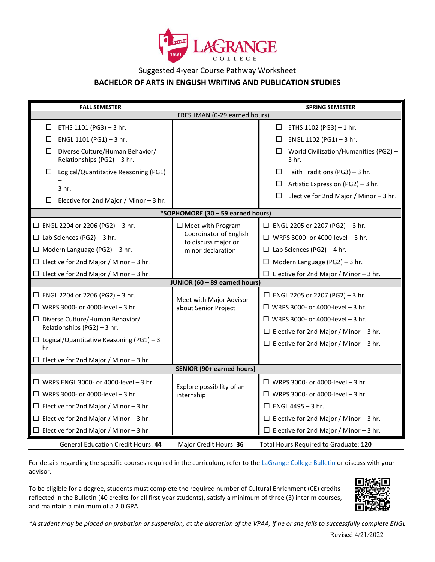

## Suggested 4-year Course Pathway Worksheet **BACHELOR OF ARTS IN ENGLISH WRITING AND PUBLICATION STUDIES**

| <b>FALL SEMESTER</b>                                                     |                                                 | <b>SPRING SEMESTER</b>                                   |
|--------------------------------------------------------------------------|-------------------------------------------------|----------------------------------------------------------|
| FRESHMAN (0-29 earned hours)                                             |                                                 |                                                          |
| ETHS 1101 (PG3) - 3 hr.<br>$\Box$                                        |                                                 | ETHS 1102 (PG3) - 1 hr.<br>$\Box$                        |
| ENGL 1101 (PG1) - 3 hr.<br>$\Box$                                        |                                                 | ENGL 1102 (PG1) - 3 hr.<br>$\Box$                        |
| Diverse Culture/Human Behavior/<br>$\Box$<br>Relationships (PG2) - 3 hr. |                                                 | World Civilization/Humanities (PG2) -<br>$\Box$<br>3 hr. |
| Logical/Quantitative Reasoning (PG1)<br>$\Box$                           |                                                 | Faith Traditions (PG3) - 3 hr.<br>$\Box$                 |
| 3 <sub>hr.</sub>                                                         |                                                 | Artistic Expression (PG2) - 3 hr.<br>$\Box$              |
| Elective for 2nd Major / Minor $-3$ hr.<br>$\Box$                        |                                                 | Elective for 2nd Major / Minor $-3$ hr.<br>$\perp$       |
| *SOPHOMORE (30 - 59 earned hours)                                        |                                                 |                                                          |
| $\Box$ ENGL 2204 or 2206 (PG2) - 3 hr.                                   | $\Box$ Meet with Program                        | $\Box$ ENGL 2205 or 2207 (PG2) - 3 hr.                   |
| $\Box$ Lab Sciences (PG2) - 3 hr.                                        | Coordinator of English<br>to discuss major or   | $\Box$ WRPS 3000- or 4000-level - 3 hr.                  |
| $\Box$ Modern Language (PG2) - 3 hr.                                     | minor declaration                               | $\Box$ Lab Sciences (PG2) – 4 hr.                        |
| $\Box$ Elective for 2nd Major / Minor - 3 hr.                            |                                                 | Modern Language (PG2) - 3 hr.<br>$\Box$                  |
| $\Box$ Elective for 2nd Major / Minor - 3 hr.                            |                                                 | Elective for 2nd Major / Minor $-3$ hr.                  |
| JUNIOR (60 - 89 earned hours)                                            |                                                 |                                                          |
| $\Box$ ENGL 2204 or 2206 (PG2) - 3 hr.                                   | Meet with Major Advisor<br>about Senior Project | $\Box$ ENGL 2205 or 2207 (PG2) - 3 hr.                   |
| $\Box$ WRPS 3000- or 4000-level - 3 hr.                                  |                                                 | $\Box$ WRPS 3000- or 4000-level - 3 hr.                  |
| $\Box$ Diverse Culture/Human Behavior/<br>Relationships (PG2) - 3 hr.    |                                                 | $\Box$ WRPS 3000- or 4000-level - 3 hr.                  |
|                                                                          |                                                 | $\Box$ Elective for 2nd Major / Minor - 3 hr.            |
| $\Box$ Logical/Quantitative Reasoning (PG1) - 3<br>hr.                   |                                                 | $\Box$ Elective for 2nd Major / Minor - 3 hr.            |
| $\Box$ Elective for 2nd Major / Minor - 3 hr.                            |                                                 |                                                          |
| <b>SENIOR (90+ earned hours)</b>                                         |                                                 |                                                          |
| $\Box$ WRPS ENGL 3000- or 4000-level - 3 hr.                             | Explore possibility of an<br>internship         | $\Box$ WRPS 3000- or 4000-level - 3 hr.                  |
| $\Box$ WRPS 3000- or 4000-level - 3 hr.                                  |                                                 | $\Box$ WRPS 3000- or 4000-level - 3 hr.                  |
| $\Box$ Elective for 2nd Major / Minor - 3 hr.                            |                                                 | $\Box$ ENGL 4495 - 3 hr.                                 |
| $\Box$ Elective for 2nd Major / Minor - 3 hr.                            |                                                 | $\Box$ Elective for 2nd Major / Minor - 3 hr.            |
| $\Box$ Elective for 2nd Major / Minor - 3 hr.                            |                                                 | $\Box$ Elective for 2nd Major / Minor - 3 hr.            |
| <b>General Education Credit Hours: 44</b>                                | Major Credit Hours: 36                          | Total Hours Required to Graduate: 120                    |

For details regarding the specific courses required in the curriculum, refer to th[e LaGrange College Bulletin](http://www.lagrange.edu/academics/catalogs.html) or discuss with your advisor.

To be eligible for a degree, students must complete the required number of Cultural Enrichment (CE) credits reflected in the Bulletin (40 credits for all first-year students), satisfy a minimum of three (3) interim courses, and maintain a minimum of a 2.0 GPA.



*\*A student may be placed on probation or suspension, at the discretion of the VPAA, if he or she fails to successfully complete ENGL*